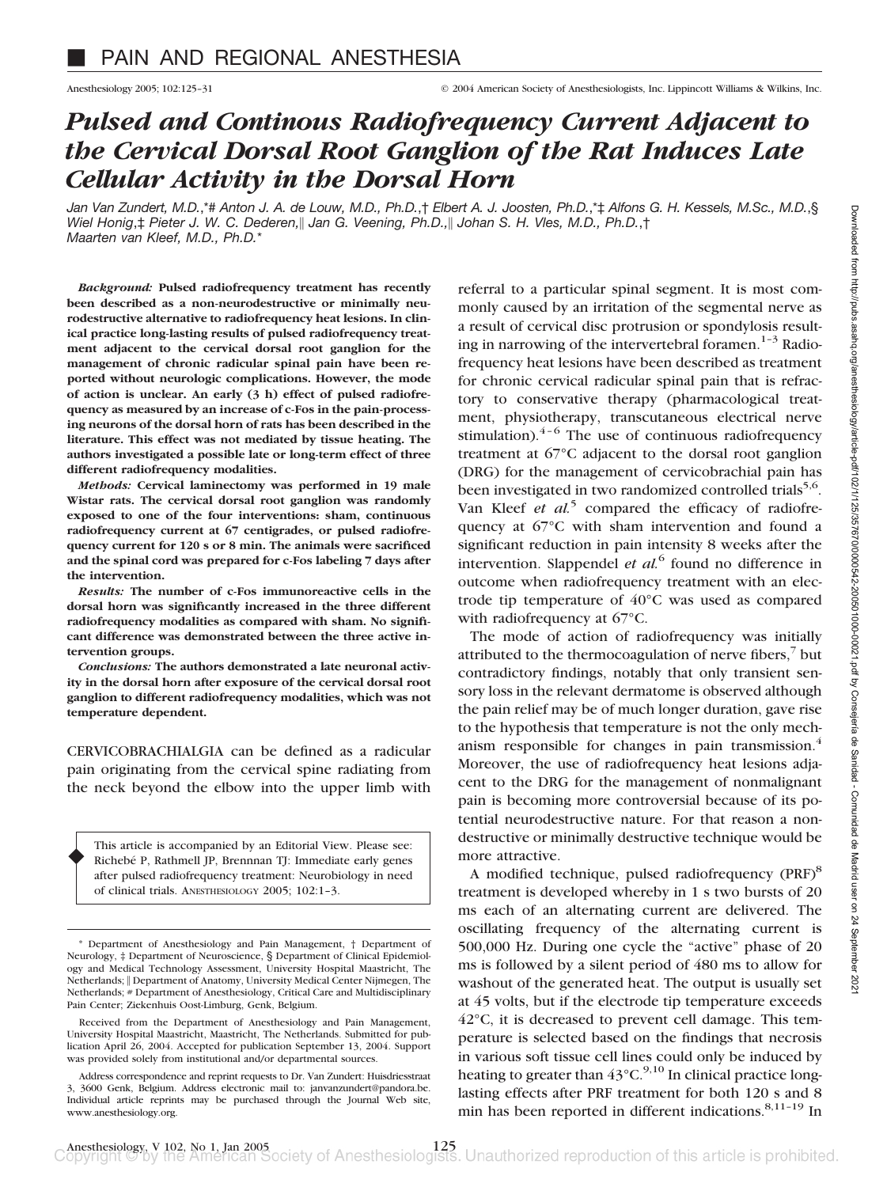# *Pulsed and Continous Radiofrequency Current Adjacent to the Cervical Dorsal Root Ganglion of the Rat Induces Late Cellular Activity in the Dorsal Horn*

*Jan Van Zundert, M.D.*,\*# *Anton J. A. de Louw, M.D., Ph.D.*,† *Elbert A. J. Joosten, Ph.D.*,\*‡ *Alfons G. H. Kessels, M.Sc., M.D.*,§ *Wiel Honig*,‡ *Pieter J. W. C. Dederen,*- *Jan G. Veening, Ph.D.,*- *Johan S. H. Vles, M.D., Ph.D.*,† *Maarten van Kleef, M.D., Ph.D.*\*

*Background:* **Pulsed radiofrequency treatment has recently been described as a non-neurodestructive or minimally neurodestructive alternative to radiofrequency heat lesions. In clinical practice long-lasting results of pulsed radiofrequency treatment adjacent to the cervical dorsal root ganglion for the management of chronic radicular spinal pain have been reported without neurologic complications. However, the mode of action is unclear. An early (3 h) effect of pulsed radiofrequency as measured by an increase of c-Fos in the pain-processing neurons of the dorsal horn of rats has been described in the literature. This effect was not mediated by tissue heating. The authors investigated a possible late or long-term effect of three different radiofrequency modalities.**

*Methods:* **Cervical laminectomy was performed in 19 male Wistar rats. The cervical dorsal root ganglion was randomly exposed to one of the four interventions: sham, continuous radiofrequency current at 67 centigrades, or pulsed radiofrequency current for 120 s or 8 min. The animals were sacrificed and the spinal cord was prepared for c-Fos labeling 7 days after the intervention.**

*Results:* **The number of c-Fos immunoreactive cells in the dorsal horn was significantly increased in the three different radiofrequency modalities as compared with sham. No significant difference was demonstrated between the three active intervention groups.**

*Conclusions:* **The authors demonstrated a late neuronal activity in the dorsal horn after exposure of the cervical dorsal root ganglion to different radiofrequency modalities, which was not temperature dependent.**

CERVICOBRACHIALGIA can be defined as a radicular pain originating from the cervical spine radiating from the neck beyond the elbow into the upper limb with

This article is accompanied by an Editorial View. Please see: Richebé P, Rathmell JP, Brennnan TJ: Immediate early genes after pulsed radiofrequency treatment: Neurobiology in need of clinical trials. ANESTHESIOLOGY 2005; 102:1–3.

♦

\* Department of Anesthesiology and Pain Management, † Department of Neurology, ‡ Department of Neuroscience, § Department of Clinical Epidemiology and Medical Technology Assessment, University Hospital Maastricht, The Netherlands; | Department of Anatomy, University Medical Center Nijmegen, The Netherlands; # Department of Anesthesiology, Critical Care and Multidisciplinary Pain Center; Ziekenhuis Oost-Limburg, Genk, Belgium.

Received from the Department of Anesthesiology and Pain Management, University Hospital Maastricht, Maastricht, The Netherlands. Submitted for publication April 26, 2004. Accepted for publication September 13, 2004. Support was provided solely from institutional and/or departmental sources.

Address correspondence and reprint requests to Dr. Van Zundert: Huisdriesstraat 3, 3600 Genk, Belgium. Address electronic mail to: janvanzundert@pandora.be. Individual article reprints may be purchased through the Journal Web site, www.anesthesiology.org.

referral to a particular spinal segment. It is most commonly caused by an irritation of the segmental nerve as a result of cervical disc protrusion or spondylosis resulting in narrowing of the intervertebral foramen.<sup>1-3</sup> Radiofrequency heat lesions have been described as treatment for chronic cervical radicular spinal pain that is refractory to conservative therapy (pharmacological treatment, physiotherapy, transcutaneous electrical nerve stimulation). $4-6$  The use of continuous radiofrequency treatment at 67°C adjacent to the dorsal root ganglion (DRG) for the management of cervicobrachial pain has been investigated in two randomized controlled trials<sup>5,6</sup>. Van Kleef *et al.*<sup>5</sup> compared the efficacy of radiofrequency at 67°C with sham intervention and found a significant reduction in pain intensity 8 weeks after the intervention. Slappendel *et al.*<sup>6</sup> found no difference in outcome when radiofrequency treatment with an electrode tip temperature of 40°C was used as compared with radiofrequency at 67°C.

The mode of action of radiofrequency was initially attributed to the thermocoagulation of nerve fibers, $\frac{7}{1}$  but contradictory findings, notably that only transient sensory loss in the relevant dermatome is observed although the pain relief may be of much longer duration, gave rise to the hypothesis that temperature is not the only mechanism responsible for changes in pain transmission.<sup>4</sup> Moreover, the use of radiofrequency heat lesions adjacent to the DRG for the management of nonmalignant pain is becoming more controversial because of its potential neurodestructive nature. For that reason a nondestructive or minimally destructive technique would be more attractive.

A modified technique, pulsed radiofrequency (PRF)<sup>8</sup> treatment is developed whereby in 1 s two bursts of 20 ms each of an alternating current are delivered. The oscillating frequency of the alternating current is 500,000 Hz. During one cycle the "active" phase of 20 ms is followed by a silent period of 480 ms to allow for washout of the generated heat. The output is usually set at 45 volts, but if the electrode tip temperature exceeds 42°C, it is decreased to prevent cell damage. This temperature is selected based on the findings that necrosis in various soft tissue cell lines could only be induced by heating to greater than  $43^{\circ}$ C.<sup>9,10</sup> In clinical practice longlasting effects after PRF treatment for both 120 s and 8 min has been reported in different indications.<sup>8,11-19</sup> In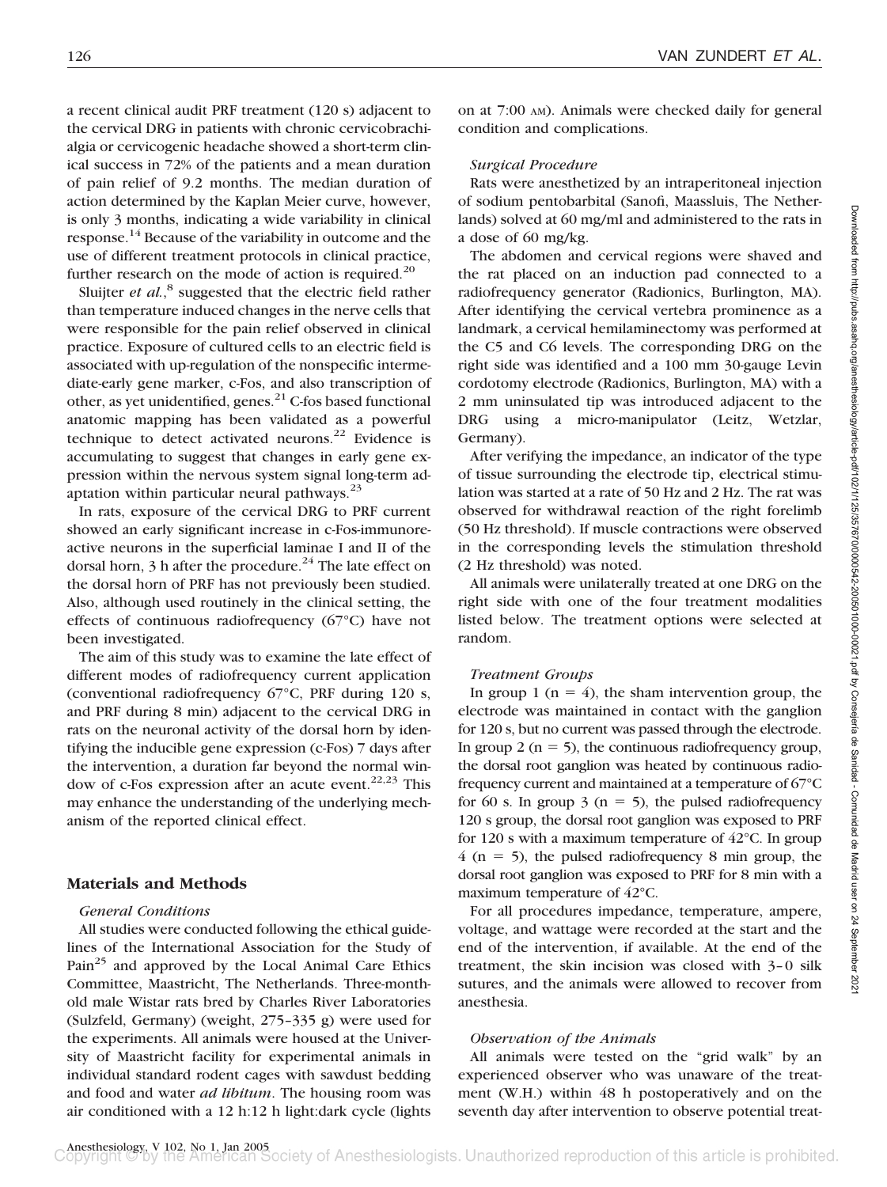a recent clinical audit PRF treatment (120 s) adjacent to the cervical DRG in patients with chronic cervicobrachialgia or cervicogenic headache showed a short-term clinical success in 72% of the patients and a mean duration of pain relief of 9.2 months. The median duration of action determined by the Kaplan Meier curve, however, is only 3 months, indicating a wide variability in clinical response.<sup>14</sup> Because of the variability in outcome and the use of different treatment protocols in clinical practice, further research on the mode of action is required.<sup>20</sup>

Sluijter *et al.*<sup>8</sup> suggested that the electric field rather than temperature induced changes in the nerve cells that were responsible for the pain relief observed in clinical practice. Exposure of cultured cells to an electric field is associated with up-regulation of the nonspecific intermediate-early gene marker, c-Fos, and also transcription of other, as yet unidentified, genes.<sup>21</sup> C-fos based functional anatomic mapping has been validated as a powerful technique to detect activated neurons. $22$  Evidence is accumulating to suggest that changes in early gene expression within the nervous system signal long-term adaptation within particular neural pathways. $^{23}$ 

In rats, exposure of the cervical DRG to PRF current showed an early significant increase in c-Fos-immunoreactive neurons in the superficial laminae I and II of the dorsal horn,  $3$  h after the procedure.<sup>24</sup> The late effect on the dorsal horn of PRF has not previously been studied. Also, although used routinely in the clinical setting, the effects of continuous radiofrequency (67°C) have not been investigated.

The aim of this study was to examine the late effect of different modes of radiofrequency current application (conventional radiofrequency 67°C, PRF during 120 s, and PRF during 8 min) adjacent to the cervical DRG in rats on the neuronal activity of the dorsal horn by identifying the inducible gene expression (c-Fos) 7 days after the intervention, a duration far beyond the normal window of c-Fos expression after an acute event. $22,23$  This may enhance the understanding of the underlying mechanism of the reported clinical effect.

# **Materials and Methods**

### *General Conditions*

All studies were conducted following the ethical guidelines of the International Association for the Study of Pain<sup>25</sup> and approved by the Local Animal Care Ethics Committee, Maastricht, The Netherlands. Three-monthold male Wistar rats bred by Charles River Laboratories (Sulzfeld, Germany) (weight, 275–335 g) were used for the experiments. All animals were housed at the University of Maastricht facility for experimental animals in individual standard rodent cages with sawdust bedding and food and water *ad libitum*. The housing room was air conditioned with a 12 h:12 h light:dark cycle (lights

on at 7:00 AM). Animals were checked daily for general condition and complications.

# *Surgical Procedure*

Rats were anesthetized by an intraperitoneal injection of sodium pentobarbital (Sanofi, Maassluis, The Netherlands) solved at 60 mg/ml and administered to the rats in a dose of 60 mg/kg.

The abdomen and cervical regions were shaved and the rat placed on an induction pad connected to a radiofrequency generator (Radionics, Burlington, MA). After identifying the cervical vertebra prominence as a landmark, a cervical hemilaminectomy was performed at the C5 and C6 levels. The corresponding DRG on the right side was identified and a 100 mm 30-gauge Levin cordotomy electrode (Radionics, Burlington, MA) with a 2 mm uninsulated tip was introduced adjacent to the DRG using a micro-manipulator (Leitz, Wetzlar, Germany).

After verifying the impedance, an indicator of the type of tissue surrounding the electrode tip, electrical stimulation was started at a rate of 50 Hz and 2 Hz. The rat was observed for withdrawal reaction of the right forelimb (50 Hz threshold). If muscle contractions were observed in the corresponding levels the stimulation threshold (2 Hz threshold) was noted.

All animals were unilaterally treated at one DRG on the right side with one of the four treatment modalities listed below. The treatment options were selected at random.

# *Treatment Groups*

In group 1 ( $n = 4$ ), the sham intervention group, the electrode was maintained in contact with the ganglion for 120 s, but no current was passed through the electrode. In group 2 ( $n = 5$ ), the continuous radiofrequency group, the dorsal root ganglion was heated by continuous radiofrequency current and maintained at a temperature of 67°C for 60 s. In group 3 ( $n = 5$ ), the pulsed radiofrequency 120 s group, the dorsal root ganglion was exposed to PRF for 120 s with a maximum temperature of 42°C. In group  $4$  (n = 5), the pulsed radiofrequency 8 min group, the dorsal root ganglion was exposed to PRF for 8 min with a maximum temperature of 42°C.

For all procedures impedance, temperature, ampere, voltage, and wattage were recorded at the start and the end of the intervention, if available. At the end of the treatment, the skin incision was closed with 3–0 silk sutures, and the animals were allowed to recover from anesthesia.

# *Observation of the Animals*

All animals were tested on the "grid walk" by an experienced observer who was unaware of the treatment (W.H.) within 48 h postoperatively and on the seventh day after intervention to observe potential treat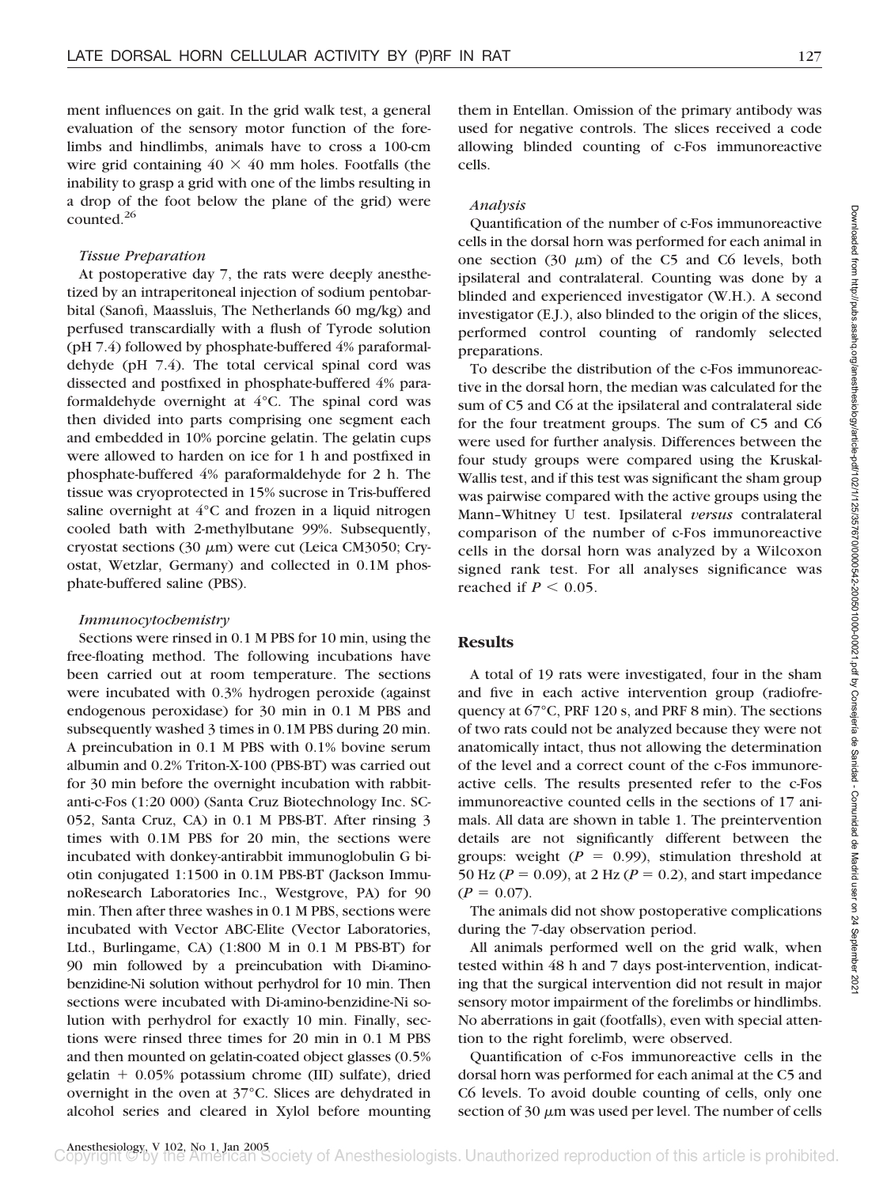ment influences on gait. In the grid walk test, a general evaluation of the sensory motor function of the forelimbs and hindlimbs, animals have to cross a 100-cm wire grid containing  $40 \times 40$  mm holes. Footfalls (the inability to grasp a grid with one of the limbs resulting in a drop of the foot below the plane of the grid) were counted<sup>26</sup>

#### *Tissue Preparation*

At postoperative day 7, the rats were deeply anesthetized by an intraperitoneal injection of sodium pentobarbital (Sanofi, Maassluis, The Netherlands 60 mg/kg) and perfused transcardially with a flush of Tyrode solution (pH 7.4) followed by phosphate-buffered 4% paraformaldehyde (pH 7.4). The total cervical spinal cord was dissected and postfixed in phosphate-buffered 4% paraformaldehyde overnight at 4°C. The spinal cord was then divided into parts comprising one segment each and embedded in 10% porcine gelatin. The gelatin cups were allowed to harden on ice for 1 h and postfixed in phosphate-buffered 4% paraformaldehyde for 2 h. The tissue was cryoprotected in 15% sucrose in Tris-buffered saline overnight at 4°C and frozen in a liquid nitrogen cooled bath with 2-methylbutane 99%. Subsequently, cryostat sections (30  $\mu$ m) were cut (Leica CM3050; Cryostat, Wetzlar, Germany) and collected in 0.1M phosphate-buffered saline (PBS).

#### *Immunocytochemistry*

Sections were rinsed in 0.1 M PBS for 10 min, using the free-floating method. The following incubations have been carried out at room temperature. The sections were incubated with 0.3% hydrogen peroxide (against endogenous peroxidase) for 30 min in 0.1 M PBS and subsequently washed 3 times in 0.1M PBS during 20 min. A preincubation in 0.1 M PBS with 0.1% bovine serum albumin and 0.2% Triton-X-100 (PBS-BT) was carried out for 30 min before the overnight incubation with rabbitanti-c-Fos (1:20 000) (Santa Cruz Biotechnology Inc. SC-052, Santa Cruz, CA) in 0.1 M PBS-BT. After rinsing 3 times with 0.1M PBS for 20 min, the sections were incubated with donkey-antirabbit immunoglobulin G biotin conjugated 1:1500 in 0.1M PBS-BT (Jackson ImmunoResearch Laboratories Inc., Westgrove, PA) for 90 min. Then after three washes in 0.1 M PBS, sections were incubated with Vector ABC-Elite (Vector Laboratories, Ltd., Burlingame, CA) (1:800 M in 0.1 M PBS-BT) for 90 min followed by a preincubation with Di-aminobenzidine-Ni solution without perhydrol for 10 min. Then sections were incubated with Di-amino-benzidine-Ni solution with perhydrol for exactly 10 min. Finally, sections were rinsed three times for 20 min in 0.1 M PBS and then mounted on gelatin-coated object glasses (0.5% gelatin  $+$  0.05% potassium chrome (III) sulfate), dried overnight in the oven at 37°C. Slices are dehydrated in alcohol series and cleared in Xylol before mounting

them in Entellan. Omission of the primary antibody was used for negative controls. The slices received a code allowing blinded counting of c-Fos immunoreactive cells.

#### *Analysis*

Quantification of the number of c-Fos immunoreactive cells in the dorsal horn was performed for each animal in one section (30  $\mu$ m) of the C5 and C6 levels, both ipsilateral and contralateral. Counting was done by a blinded and experienced investigator (W.H.). A second investigator (E.J.), also blinded to the origin of the slices, performed control counting of randomly selected preparations.

To describe the distribution of the c-Fos immunoreactive in the dorsal horn, the median was calculated for the sum of C5 and C6 at the ipsilateral and contralateral side for the four treatment groups. The sum of C5 and C6 were used for further analysis. Differences between the four study groups were compared using the Kruskal-Wallis test, and if this test was significant the sham group was pairwise compared with the active groups using the Mann–Whitney U test. Ipsilateral *versus* contralateral comparison of the number of c-Fos immunoreactive cells in the dorsal horn was analyzed by a Wilcoxon signed rank test. For all analyses significance was reached if  $P \leq 0.05$ .

#### **Results**

A total of 19 rats were investigated, four in the sham and five in each active intervention group (radiofrequency at 67°C, PRF 120 s, and PRF 8 min). The sections of two rats could not be analyzed because they were not anatomically intact, thus not allowing the determination of the level and a correct count of the c-Fos immunoreactive cells. The results presented refer to the c-Fos immunoreactive counted cells in the sections of 17 animals. All data are shown in table 1. The preintervention details are not significantly different between the groups: weight  $(P = 0.99)$ , stimulation threshold at 50 Hz ( $P = 0.09$ ), at 2 Hz ( $P = 0.2$ ), and start impedance  $(P = 0.07)$ .

The animals did not show postoperative complications during the 7-day observation period.

All animals performed well on the grid walk, when tested within 48 h and 7 days post-intervention, indicating that the surgical intervention did not result in major sensory motor impairment of the forelimbs or hindlimbs. No aberrations in gait (footfalls), even with special attention to the right forelimb, were observed.

Quantification of c-Fos immunoreactive cells in the dorsal horn was performed for each animal at the C5 and C6 levels. To avoid double counting of cells, only one section of 30  $\mu$ m was used per level. The number of cells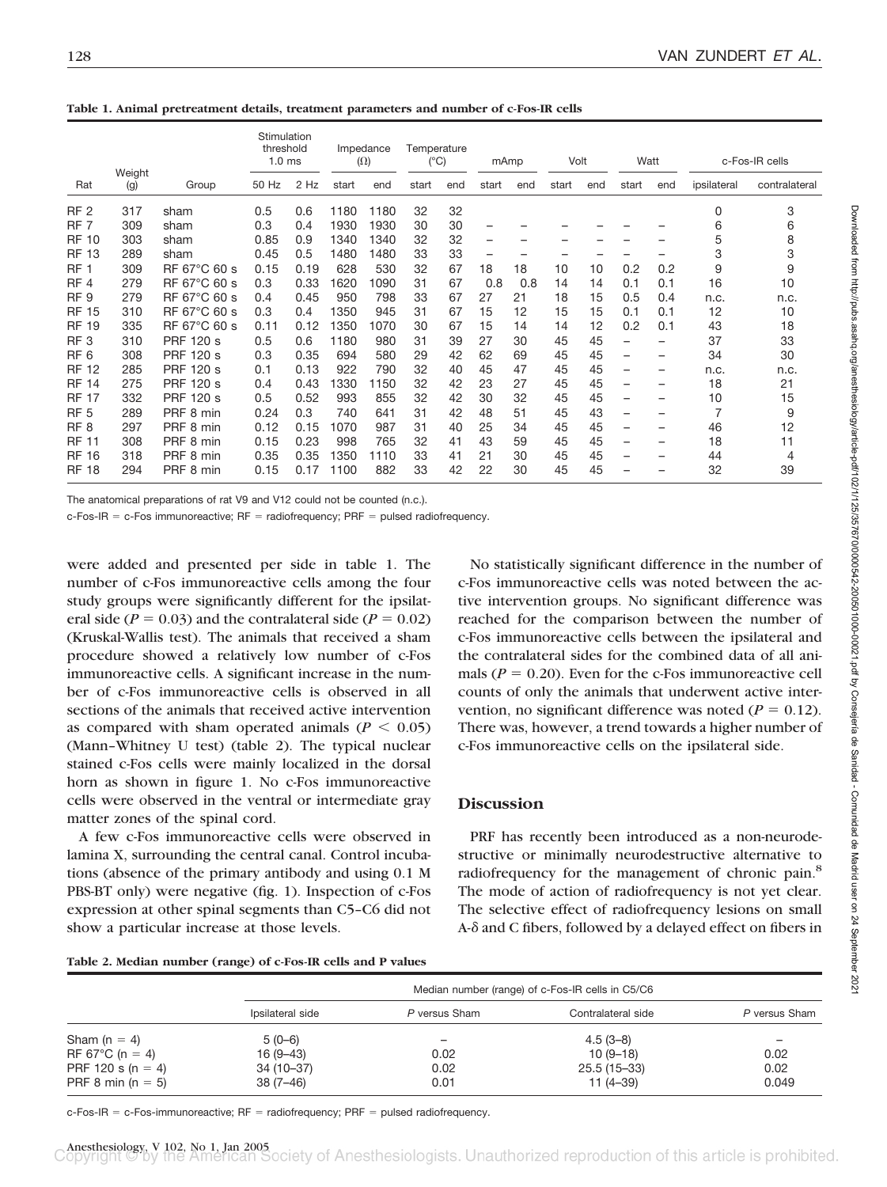|  | Table 1. Animal pretreatment details, treatment parameters and number of c-Fos-IR cells |  |  |
|--|-----------------------------------------------------------------------------------------|--|--|
|  |                                                                                         |  |  |

|                 |               |                  | Stimulation<br>threshold<br>1.0 <sub>ms</sub> |        | Impedance<br>$(\Omega)$ |      | Temperature<br>$(^{\circ}C)$ |     | mAmp  |     | Volt  |     | Watt                     |     | c-Fos-IR cells |               |
|-----------------|---------------|------------------|-----------------------------------------------|--------|-------------------------|------|------------------------------|-----|-------|-----|-------|-----|--------------------------|-----|----------------|---------------|
| Rat             | Weight<br>(g) | Group            | 50 Hz                                         | $2$ Hz | start                   | end  | start                        | end | start | end | start | end | start                    | end | ipsilateral    | contralateral |
| RF <sub>2</sub> | 317           | sham             | 0.5                                           | 0.6    | 1180                    | 1180 | 32                           | 32  |       |     |       |     |                          |     | 0              | 3             |
| RF <sub>7</sub> | 309           | sham             | 0.3                                           | 0.4    | 1930                    | 1930 | 30                           | 30  |       |     |       |     |                          |     | 6              | 6             |
| <b>RF 10</b>    | 303           | sham             | 0.85                                          | 0.9    | 1340                    | 1340 | 32                           | 32  | -     |     |       |     |                          |     | 5              | 8             |
| <b>RF 13</b>    | 289           | sham             | 0.45                                          | 0.5    | 1480                    | 1480 | 33                           | 33  | -     |     |       |     |                          |     | 3              | 3             |
| RF <sub>1</sub> | 309           | RF 67°C 60 s     | 0.15                                          | 0.19   | 628                     | 530  | 32                           | 67  | 18    | 18  | 10    | 10  | 0.2                      | 0.2 | 9              | 9             |
| RF4             | 279           | RF 67°C 60 s     | 0.3                                           | 0.33   | 1620                    | 1090 | 31                           | 67  | 0.8   | 0.8 | 14    | 14  | 0.1                      | 0.1 | 16             | 10            |
| RF <sub>9</sub> | 279           | RF 67°C 60 s     | 0.4                                           | 0.45   | 950                     | 798  | 33                           | 67  | 27    | 21  | 18    | 15  | 0.5                      | 0.4 | n.c.           | n.c.          |
| <b>RF 15</b>    | 310           | RF 67°C 60 s     | 0.3                                           | 0.4    | 1350                    | 945  | 31                           | 67  | 15    | 12  | 15    | 15  | 0.1                      | 0.1 | 12             | 10            |
| <b>RF 19</b>    | 335           | RF 67°C 60 s     | 0.11                                          | 0.12   | 1350                    | 1070 | 30                           | 67  | 15    | 14  | 14    | 12  | 0.2                      | 0.1 | 43             | 18            |
| RF <sub>3</sub> | 310           | <b>PRF 120 s</b> | 0.5                                           | 0.6    | 1180                    | 980  | 31                           | 39  | 27    | 30  | 45    | 45  | -                        | -   | 37             | 33            |
| RF <sub>6</sub> | 308           | <b>PRF 120 s</b> | 0.3                                           | 0.35   | 694                     | 580  | 29                           | 42  | 62    | 69  | 45    | 45  | -                        | -   | 34             | 30            |
| <b>RF 12</b>    | 285           | <b>PRF 120 s</b> | 0.1                                           | 0.13   | 922                     | 790  | 32                           | 40  | 45    | 47  | 45    | 45  | -                        | -   | n.c.           | n.c.          |
| <b>RF 14</b>    | 275           | <b>PRF 120 s</b> | 0.4                                           | 0.43   | 1330                    | 1150 | 32                           | 42  | 23    | 27  | 45    | 45  | -                        | -   | 18             | 21            |
| <b>RF 17</b>    | 332           | <b>PRF 120 s</b> | 0.5                                           | 0.52   | 993                     | 855  | 32                           | 42  | 30    | 32  | 45    | 45  | $\overline{\phantom{0}}$ | -   | 10             | 15            |
| RF <sub>5</sub> | 289           | PRF 8 min        | 0.24                                          | 0.3    | 740                     | 641  | 31                           | 42  | 48    | 51  | 45    | 43  | -                        |     | $\overline{7}$ | 9             |
| RF <sub>8</sub> | 297           | PRF 8 min        | 0.12                                          | 0.15   | 1070                    | 987  | 31                           | 40  | 25    | 34  | 45    | 45  | $\overline{\phantom{0}}$ | -   | 46             | 12            |
| <b>RF 11</b>    | 308           | PRF 8 min        | 0.15                                          | 0.23   | 998                     | 765  | 32                           | 41  | 43    | 59  | 45    | 45  | -                        | -   | 18             | 11            |
| <b>RF 16</b>    | 318           | PRF 8 min        | 0.35                                          | 0.35   | 1350                    | 1110 | 33                           | 41  | 21    | 30  | 45    | 45  | -                        |     | 44             | 4             |
| <b>RF 18</b>    | 294           | PRF 8 min        | 0.15                                          | 0.17   | 1100                    | 882  | 33                           | 42  | 22    | 30  | 45    | 45  |                          |     | 32             | 39            |

The anatomical preparations of rat V9 and V12 could not be counted (n.c.).

c-Fos-IR = c-Fos immunoreactive;  $RF =$  radiofrequency; PRF = pulsed radiofrequency.

were added and presented per side in table 1. The number of c-Fos immunoreactive cells among the four study groups were significantly different for the ipsilateral side ( $P = 0.03$ ) and the contralateral side ( $P = 0.02$ ) (Kruskal-Wallis test). The animals that received a sham procedure showed a relatively low number of c-Fos immunoreactive cells. A significant increase in the number of c-Fos immunoreactive cells is observed in all sections of the animals that received active intervention as compared with sham operated animals ( $P < 0.05$ ) (Mann–Whitney U test) (table 2). The typical nuclear stained c-Fos cells were mainly localized in the dorsal horn as shown in figure 1. No c-Fos immunoreactive cells were observed in the ventral or intermediate gray matter zones of the spinal cord.

A few c-Fos immunoreactive cells were observed in lamina X, surrounding the central canal. Control incubations (absence of the primary antibody and using 0.1 M PBS-BT only) were negative (fig. 1). Inspection of c-Fos expression at other spinal segments than C5–C6 did not show a particular increase at those levels.

No statistically significant difference in the number of c-Fos immunoreactive cells was noted between the active intervention groups. No significant difference was reached for the comparison between the number of c-Fos immunoreactive cells between the ipsilateral and the contralateral sides for the combined data of all animals  $(P = 0.20)$ . Even for the c-Fos immunoreactive cell counts of only the animals that underwent active intervention, no significant difference was noted ( $P = 0.12$ ). There was, however, a trend towards a higher number of c-Fos immunoreactive cells on the ipsilateral side.

### **Discussion**

PRF has recently been introduced as a non-neurodestructive or minimally neurodestructive alternative to radiofrequency for the management of chronic pain.<sup>8</sup> The mode of action of radiofrequency is not yet clear. The selective effect of radiofrequency lesions on small A- $\delta$  and C fibers, followed by a delayed effect on fibers in

|  |  | Table 2. Median number (range) of c-Fos-IR cells and P values |  |
|--|--|---------------------------------------------------------------|--|

|                            |                  | Median number (range) of c-Fos-IR cells in C5/C6 |                    |               |  |  |  |  |  |
|----------------------------|------------------|--------------------------------------------------|--------------------|---------------|--|--|--|--|--|
|                            | Ipsilateral side | P versus Sham                                    | Contralateral side | P versus Sham |  |  |  |  |  |
| Sham $(n = 4)$             | $5(0-6)$         | -                                                | $4.5(3-8)$         |               |  |  |  |  |  |
| RF 67 $^{\circ}$ C (n = 4) | $16(9-43)$       | 0.02                                             | $10(9-18)$         | 0.02          |  |  |  |  |  |
| PRF 120 s (n = 4)          | 34 (10–37)       | 0.02                                             | $25.5(15-33)$      | 0.02          |  |  |  |  |  |
| PRF 8 min $(n = 5)$        | $38(7 - 46)$     | 0.01                                             | $11(4-39)$         | 0.049         |  |  |  |  |  |

Downloaded from http://pubs.asahq.org/anesthesiology/article-pdf11021/1125/3576700000542-20050100021.pdf by Consejeria de Sanidad a Sanidad - Comunidad de Madrid user on 24 September 202 Downloaded from http://pubs.asahq.org/anesthesiology/article-pdf/102/1/125/357670/0000542-200501000-00021.pdf by Consejería de Sanidad - Comunidad de Madrid user on 24 September 2021

c-Fos-IR = c-Fos-immunoreactive;  $RF =$  radiofrequency; PRF = pulsed radiofrequency.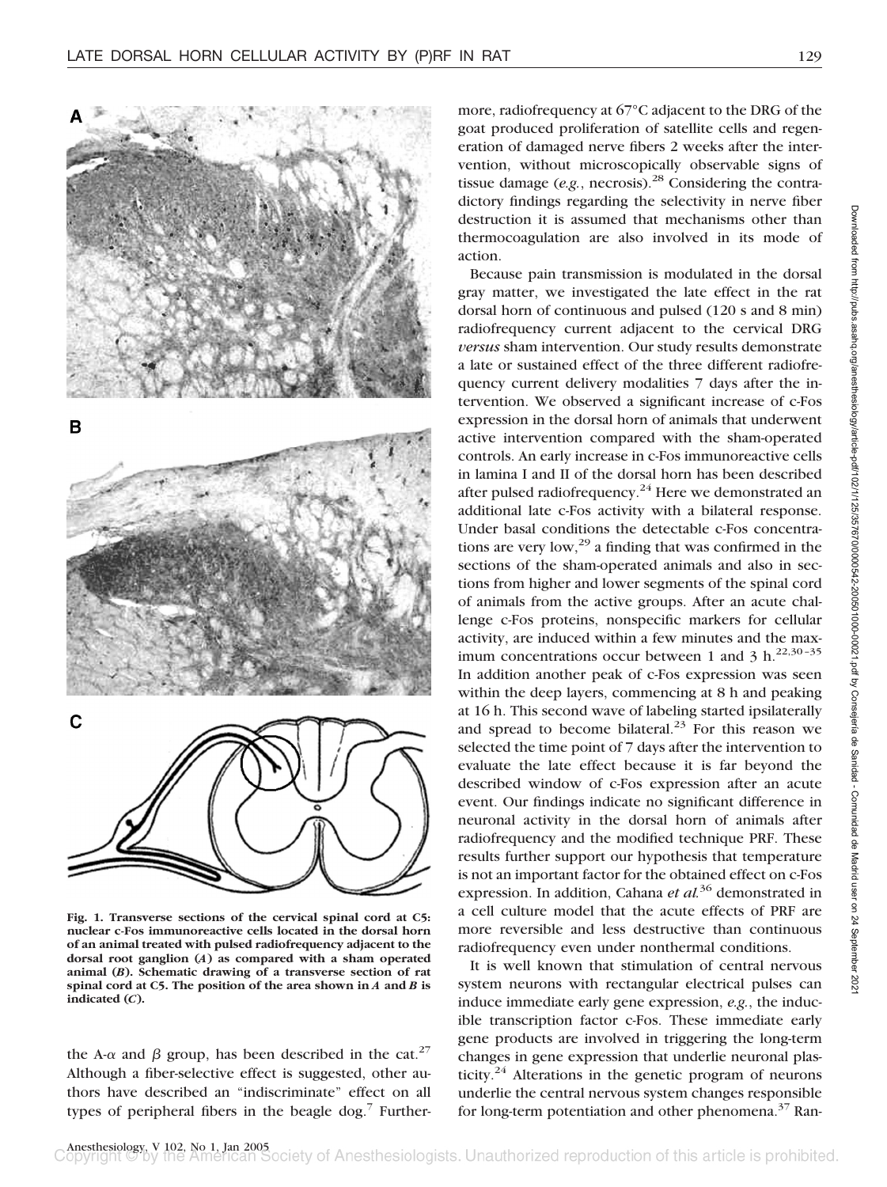



**Fig. 1. Transverse sections of the cervical spinal cord at C5: nuclear c-Fos immunoreactive cells located in the dorsal horn of an animal treated with pulsed radiofrequency adjacent to the dorsal root ganglion (***A***) as compared with a sham operated animal (***B***). Schematic drawing of a transverse section of rat spinal cord at C5. The position of the area shown in** *A* **and** *B* **is indicated (***C***).**

the A- $\alpha$  and  $\beta$  group, has been described in the cat.<sup>27</sup> Although a fiber-selective effect is suggested, other authors have described an "indiscriminate" effect on all types of peripheral fibers in the beagle dog.<sup>7</sup> Further-

more, radiofrequency at 67°C adjacent to the DRG of the goat produced proliferation of satellite cells and regeneration of damaged nerve fibers 2 weeks after the intervention, without microscopically observable signs of tissue damage (*e.g.*, necrosis).<sup>28</sup> Considering the contradictory findings regarding the selectivity in nerve fiber destruction it is assumed that mechanisms other than thermocoagulation are also involved in its mode of action.

Because pain transmission is modulated in the dorsal gray matter, we investigated the late effect in the rat dorsal horn of continuous and pulsed (120 s and 8 min) radiofrequency current adjacent to the cervical DRG *versus* sham intervention. Our study results demonstrate a late or sustained effect of the three different radiofrequency current delivery modalities 7 days after the intervention. We observed a significant increase of c-Fos expression in the dorsal horn of animals that underwent active intervention compared with the sham-operated controls. An early increase in c-Fos immunoreactive cells in lamina I and II of the dorsal horn has been described after pulsed radiofrequency.<sup>24</sup> Here we demonstrated an additional late c-Fos activity with a bilateral response. Under basal conditions the detectable c-Fos concentrations are very low, $^{29}$  a finding that was confirmed in the sections of the sham-operated animals and also in sections from higher and lower segments of the spinal cord of animals from the active groups. After an acute challenge c-Fos proteins, nonspecific markers for cellular activity, are induced within a few minutes and the maximum concentrations occur between 1 and 3 h.<sup>22,30-35</sup> In addition another peak of c-Fos expression was seen within the deep layers, commencing at 8 h and peaking at 16 h. This second wave of labeling started ipsilaterally and spread to become bilateral. $^{23}$  For this reason we selected the time point of 7 days after the intervention to evaluate the late effect because it is far beyond the described window of c-Fos expression after an acute event. Our findings indicate no significant difference in neuronal activity in the dorsal horn of animals after radiofrequency and the modified technique PRF. These results further support our hypothesis that temperature is not an important factor for the obtained effect on c-Fos expression. In addition, Cahana *et al.*<sup>36</sup> demonstrated in a cell culture model that the acute effects of PRF are more reversible and less destructive than continuous radiofrequency even under nonthermal conditions.

It is well known that stimulation of central nervous system neurons with rectangular electrical pulses can induce immediate early gene expression, *e.g.*, the inducible transcription factor c-Fos. These immediate early gene products are involved in triggering the long-term changes in gene expression that underlie neuronal plasticity.<sup>24</sup> Alterations in the genetic program of neurons underlie the central nervous system changes responsible for long-term potentiation and other phenomena.<sup>37</sup> Ran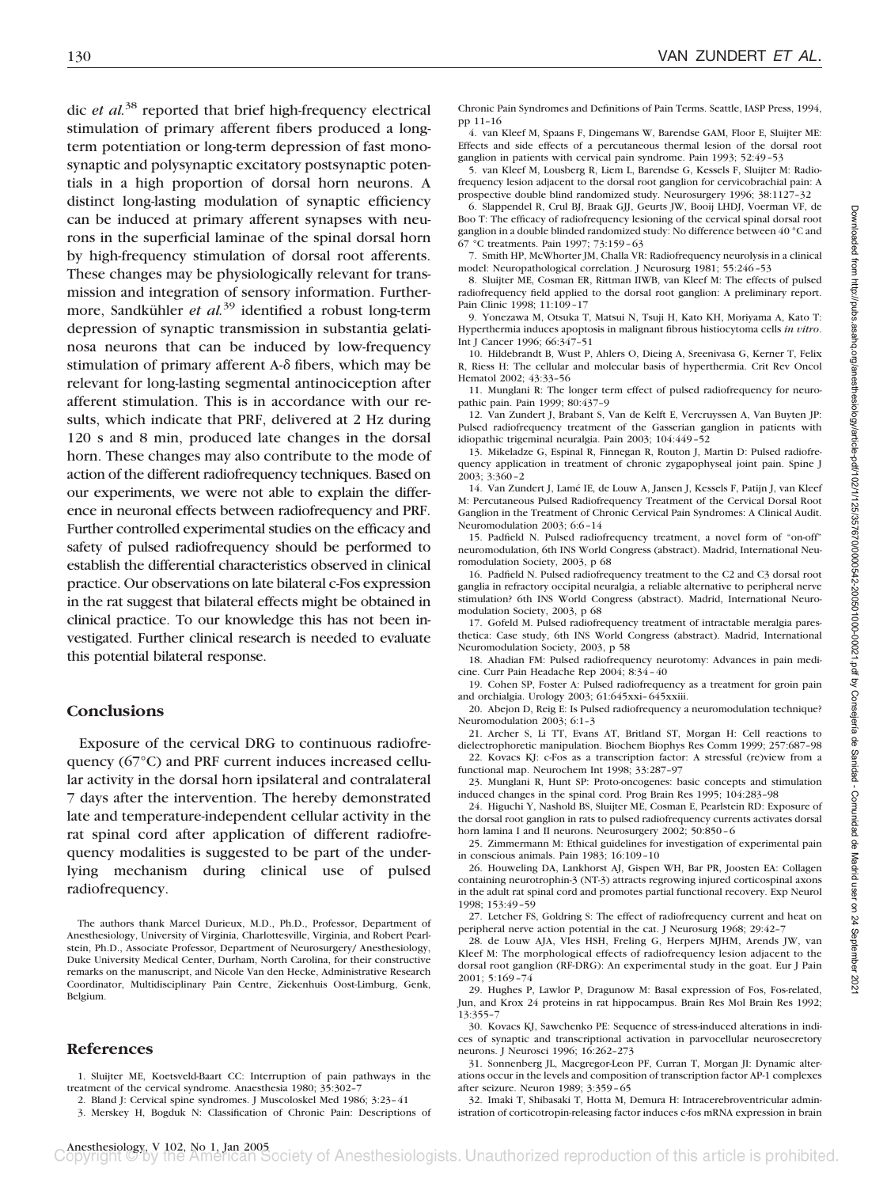dic *et al.*<sup>38</sup> reported that brief high-frequency electrical stimulation of primary afferent fibers produced a longterm potentiation or long-term depression of fast monosynaptic and polysynaptic excitatory postsynaptic potentials in a high proportion of dorsal horn neurons. A distinct long-lasting modulation of synaptic efficiency can be induced at primary afferent synapses with neurons in the superficial laminae of the spinal dorsal horn by high-frequency stimulation of dorsal root afferents. These changes may be physiologically relevant for transmission and integration of sensory information. Furthermore, Sandkühler *et al.*<sup>39</sup> identified a robust long-term depression of synaptic transmission in substantia gelatinosa neurons that can be induced by low-frequency stimulation of primary afferent A- $\delta$  fibers, which may be relevant for long-lasting segmental antinociception after afferent stimulation. This is in accordance with our results, which indicate that PRF, delivered at 2 Hz during 120 s and 8 min, produced late changes in the dorsal horn. These changes may also contribute to the mode of action of the different radiofrequency techniques. Based on our experiments, we were not able to explain the difference in neuronal effects between radiofrequency and PRF. Further controlled experimental studies on the efficacy and safety of pulsed radiofrequency should be performed to establish the differential characteristics observed in clinical practice. Our observations on late bilateral c-Fos expression in the rat suggest that bilateral effects might be obtained in clinical practice. To our knowledge this has not been investigated. Further clinical research is needed to evaluate this potential bilateral response.

### **Conclusions**

Exposure of the cervical DRG to continuous radiofrequency (67°C) and PRF current induces increased cellular activity in the dorsal horn ipsilateral and contralateral 7 days after the intervention. The hereby demonstrated late and temperature-independent cellular activity in the rat spinal cord after application of different radiofrequency modalities is suggested to be part of the underlying mechanism during clinical use of pulsed radiofrequency.

The authors thank Marcel Durieux, M.D., Ph.D., Professor, Department of Anesthesiology, University of Virginia, Charlottesville, Virginia, and Robert Pearlstein, Ph.D., Associate Professor, Department of Neurosurgery/ Anesthesiology, Duke University Medical Center, Durham, North Carolina, for their constructive remarks on the manuscript, and Nicole Van den Hecke, Administrative Research Coordinator, Multidisciplinary Pain Centre, Ziekenhuis Oost-Limburg, Genk, Belgium.

### **References**

1. Sluijter ME, Koetsveld-Baart CC: Interruption of pain pathways in the treatment of the cervical syndrome. Anaesthesia 1980; 35:302–7

2. Bland J: Cervical spine syndromes. J Muscoloskel Med 1986; 3:23–41

3. Merskey H, Bogduk N: Classification of Chronic Pain: Descriptions of

Chronic Pain Syndromes and Definitions of Pain Terms. Seattle, IASP Press, 1994, pp 11–16

4. van Kleef M, Spaans F, Dingemans W, Barendse GAM, Floor E, Sluijter ME: Effects and side effects of a percutaneous thermal lesion of the dorsal root ganglion in patients with cervical pain syndrome. Pain 1993; 52:49–53

5. van Kleef M, Lousberg R, Liem L, Barendse G, Kessels F, Sluijter M: Radiofrequency lesion adjacent to the dorsal root ganglion for cervicobrachial pain: A prospective double blind randomized study. Neurosurgery 1996; 38:1127–32

6. Slappendel R, Crul BJ, Braak GJJ, Geurts JW, Booij LHDJ, Voerman VF, de Boo T: The efficacy of radiofrequency lesioning of the cervical spinal dorsal root ganglion in a double blinded randomized study: No difference between 40 °C and 67 °C treatments. Pain 1997; 73:159–63

7. Smith HP, McWhorter JM, Challa VR: Radiofrequency neurolysis in a clinical model: Neuropathological correlation. J Neurosurg 1981; 55:246–53

8. Sluijter ME, Cosman ER, Rittman IIWB, van Kleef M: The effects of pulsed radiofrequency field applied to the dorsal root ganglion: A preliminary report. Pain Clinic 1998; 11:109–17

9. Yonezawa M, Otsuka T, Matsui N, Tsuji H, Kato KH, Moriyama A, Kato T: Hyperthermia induces apoptosis in malignant fibrous histiocytoma cells *in vitro*. Int J Cancer 1996; 66:347–51

10. Hildebrandt B, Wust P, Ahlers O, Dieing A, Sreenivasa G, Kerner T, Felix R, Riess H: The cellular and molecular basis of hyperthermia. Crit Rev Oncol Hematol 2002; 43:33–56

11. Munglani R: The longer term effect of pulsed radiofrequency for neuropathic pain. Pain 1999; 80:437–9

12. Van Zundert J, Brabant S, Van de Kelft E, Vercruyssen A, Van Buyten JP: Pulsed radiofrequency treatment of the Gasserian ganglion in patients with idiopathic trigeminal neuralgia. Pain 2003; 104:449–52

13. Mikeladze G, Espinal R, Finnegan R, Routon J, Martin D: Pulsed radiofrequency application in treatment of chronic zygapophyseal joint pain. Spine J 2003; 3:360–2

14. Van Zundert J, Lamé IE, de Louw A, Jansen J, Kessels F, Patijn J, van Kleef M: Percutaneous Pulsed Radiofrequency Treatment of the Cervical Dorsal Root Ganglion in the Treatment of Chronic Cervical Pain Syndromes: A Clinical Audit. Neuromodulation 2003; 6:6–14

15. Padfield N. Pulsed radiofrequency treatment, a novel form of "on-off" neuromodulation, 6th INS World Congress (abstract). Madrid, International Neuromodulation Society, 2003, p 68

16. Padfield N. Pulsed radiofrequency treatment to the C2 and C3 dorsal root ganglia in refractory occipital neuralgia, a reliable alternative to peripheral nerve stimulation? 6th INS World Congress (abstract). Madrid, International Neuromodulation Society, 2003, p 68

17. Gofeld M. Pulsed radiofrequency treatment of intractable meralgia paresthetica: Case study, 6th INS World Congress (abstract). Madrid, International Neuromodulation Society, 2003, p 58

18. Ahadian FM: Pulsed radiofrequency neurotomy: Advances in pain medicine. Curr Pain Headache Rep 2004; 8:34–40

19. Cohen SP, Foster A: Pulsed radiofrequency as a treatment for groin pain and orchialgia. Urology 2003; 61:645xxi–645xxiii.

20. Abejon D, Reig E: Is Pulsed radiofrequency a neuromodulation technique? Neuromodulation 2003; 6:1–3

21. Archer S, Li TT, Evans AT, Britland ST, Morgan H: Cell reactions to dielectrophoretic manipulation. Biochem Biophys Res Comm 1999; 257:687–98

22. Kovacs KJ: c-Fos as a transcription factor: A stressful (re)view from a functional map. Neurochem Int 1998; 33:287–97

23. Munglani R, Hunt SP: Proto-oncogenes: basic concepts and stimulation induced changes in the spinal cord. Prog Brain Res 1995; 104:283–98

24. Higuchi Y, Nashold BS, Sluijter ME, Cosman E, Pearlstein RD: Exposure of the dorsal root ganglion in rats to pulsed radiofrequency currents activates dorsal horn lamina I and II neurons. Neurosurgery 2002; 50:850–6

25. Zimmermann M: Ethical guidelines for investigation of experimental pain in conscious animals. Pain 1983; 16:109–10

26. Houweling DA, Lankhorst AJ, Gispen WH, Bar PR, Joosten EA: Collagen containing neurotrophin-3 (NT-3) attracts regrowing injured corticospinal axons in the adult rat spinal cord and promotes partial functional recovery. Exp Neurol 1998; 153:49–59

27. Letcher FS, Goldring S: The effect of radiofrequency current and heat on peripheral nerve action potential in the cat. J Neurosurg 1968; 29:42–7

28. de Louw AJA, Vles HSH, Freling G, Herpers MJHM, Arends JW, van Kleef M: The morphological effects of radiofrequency lesion adjacent to the dorsal root ganglion (RF-DRG): An experimental study in the goat. Eur J Pain 2001; 5:169–74

29. Hughes P, Lawlor P, Dragunow M: Basal expression of Fos, Fos-related, Jun, and Krox 24 proteins in rat hippocampus. Brain Res Mol Brain Res 1992; 13:355–7

30. Kovacs KJ, Sawchenko PE: Sequence of stress-induced alterations in indices of synaptic and transcriptional activation in parvocellular neurosecretory neurons. J Neurosci 1996; 16:262–273

31. Sonnenberg JL, Macgregor-Leon PF, Curran T, Morgan JI: Dynamic alterations occur in the levels and composition of transcription factor AP-1 complexes after seizure. Neuron 1989; 3:359–65

32. Imaki T, Shibasaki T, Hotta M, Demura H: Intracerebroventricular administration of corticotropin-releasing factor induces c-fos mRNA expression in brain